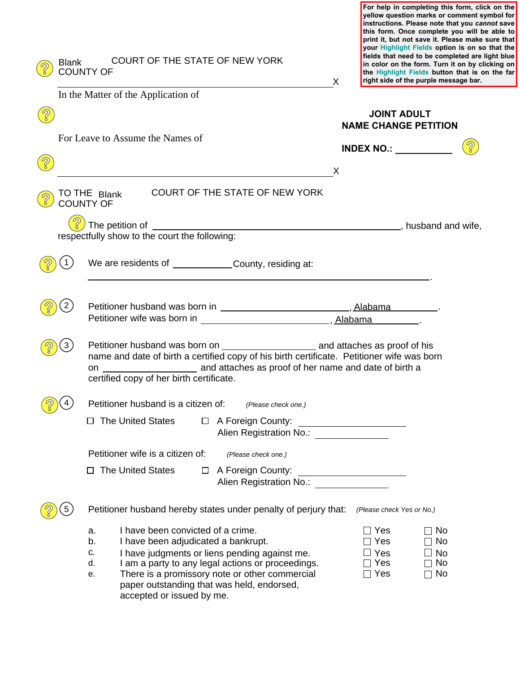| <b>Blank</b> | COURT OF THE STATE OF NEW YORK<br><b>COUNTY OF</b>                                                                                                                                                                                                                                                                                        | X        |                                                                       | yellow question marks or comment symbol for<br>instructions. Please note that you cannot save<br>this form. Once complete you will be able to<br>print it, but not save it. Please make sure that<br>your Highlight Fields option is on so that the<br>fields that need to be completed are light blue<br>in color on the form. Turn it on by clicking on<br>the Highlight Fields button that is on the far<br>right side of the purple message bar. |  |
|--------------|-------------------------------------------------------------------------------------------------------------------------------------------------------------------------------------------------------------------------------------------------------------------------------------------------------------------------------------------|----------|-----------------------------------------------------------------------|------------------------------------------------------------------------------------------------------------------------------------------------------------------------------------------------------------------------------------------------------------------------------------------------------------------------------------------------------------------------------------------------------------------------------------------------------|--|
|              | In the Matter of the Application of                                                                                                                                                                                                                                                                                                       |          |                                                                       |                                                                                                                                                                                                                                                                                                                                                                                                                                                      |  |
|              | For Leave to Assume the Names of                                                                                                                                                                                                                                                                                                          |          | <b>JOINT ADULT</b><br><b>NAME CHANGE PETITION</b>                     |                                                                                                                                                                                                                                                                                                                                                                                                                                                      |  |
|              |                                                                                                                                                                                                                                                                                                                                           |          | INDEX NO.: $\_\_$                                                     |                                                                                                                                                                                                                                                                                                                                                                                                                                                      |  |
|              |                                                                                                                                                                                                                                                                                                                                           | $\times$ |                                                                       |                                                                                                                                                                                                                                                                                                                                                                                                                                                      |  |
|              | <b>COURT OF THE STATE OF NEW YORK</b><br>TO THE Blank<br><b>COUNTY OF</b>                                                                                                                                                                                                                                                                 |          |                                                                       |                                                                                                                                                                                                                                                                                                                                                                                                                                                      |  |
|              |                                                                                                                                                                                                                                                                                                                                           |          |                                                                       |                                                                                                                                                                                                                                                                                                                                                                                                                                                      |  |
|              | We are residents of _____________County, residing at:                                                                                                                                                                                                                                                                                     |          |                                                                       |                                                                                                                                                                                                                                                                                                                                                                                                                                                      |  |
|              | Petitioner husband was born in _______________________________, Alabama _________.<br>Petitioner wife was born in ________________________________, Alabama _________.                                                                                                                                                                    |          |                                                                       |                                                                                                                                                                                                                                                                                                                                                                                                                                                      |  |
|              | name and date of birth a certified copy of his birth certificate. Petitioner wife was born<br>certified copy of her birth certificate.                                                                                                                                                                                                    |          |                                                                       |                                                                                                                                                                                                                                                                                                                                                                                                                                                      |  |
|              | Petitioner husband is a citizen of:<br>(Please check one.)                                                                                                                                                                                                                                                                                |          |                                                                       |                                                                                                                                                                                                                                                                                                                                                                                                                                                      |  |
|              | <b>The United States</b><br>$\Box$ A Foreign County:<br>$\Box$<br>Alien Registration No.:                                                                                                                                                                                                                                                 |          |                                                                       |                                                                                                                                                                                                                                                                                                                                                                                                                                                      |  |
|              | Petitioner wife is a citizen of:<br>(Please check one.)                                                                                                                                                                                                                                                                                   |          |                                                                       |                                                                                                                                                                                                                                                                                                                                                                                                                                                      |  |
|              | <b>The United States</b><br>$\Box$ A Foreign County:<br>$\Box$                                                                                                                                                                                                                                                                            |          | <u> 1989 - Johann Barbara, martin a</u>                               |                                                                                                                                                                                                                                                                                                                                                                                                                                                      |  |
|              | Petitioner husband hereby states under penalty of perjury that:                                                                                                                                                                                                                                                                           |          | (Please check Yes or No.)                                             |                                                                                                                                                                                                                                                                                                                                                                                                                                                      |  |
|              | I have been convicted of a crime.<br>a.<br>b.<br>I have been adjudicated a bankrupt.<br>c.<br>I have judgments or liens pending against me.<br>I am a party to any legal actions or proceedings.<br>d.<br>There is a promissory note or other commercial<br>е.<br>paper outstanding that was held, endorsed,<br>accepted or issued by me. |          | $\Box$ Yes<br>$\Box$ Yes<br>$\square$ Yes<br>$\Box$ Yes<br>$\Box$ Yes | _ No<br>$\sqcap$ No<br>$\Box$ No<br>$\Box$ No<br>$\Box$ No                                                                                                                                                                                                                                                                                                                                                                                           |  |

**For help in completing this form, click on the**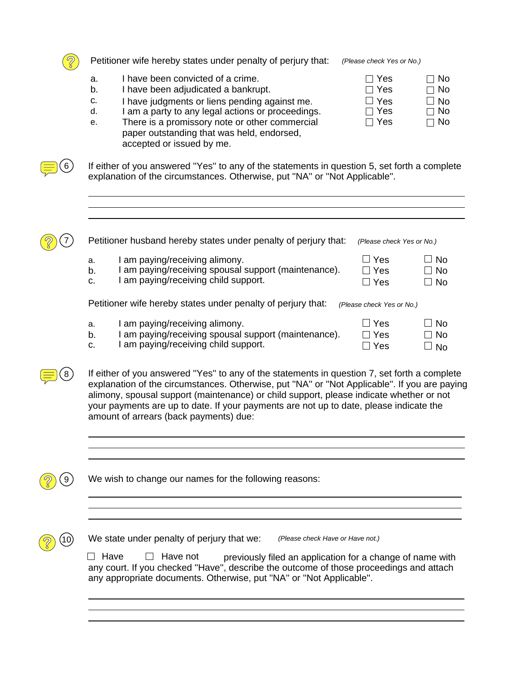

6

Petitioner wife hereby states under penalty of perjury that: *(Please check Yes or No.)*

- a. I have been convicted of a crime.
- b. I have been adjudicated a bankrupt.
- c. I have judgments or liens pending against me.<br>d. I am a party to any legal actions or proceeding
- d. I am a party to any legal actions or proceedings. □ Yes □ No
- e. There is a promissory note or other commercial  $\square$  Yes  $\square$  No paper outstanding that was held, endorsed, accepted or issued by me.

| $\Box$ Yes | Π No         |
|------------|--------------|
| $\Box$ Yes | ⊟ No         |
| $\Box$ Yes | $\square$ No |
| $\Box$ Yes | $\Box$ No    |
| l l Yes    | ⊟ No         |

If either of you answered ''Yes'' to any of the statements in question 5, set forth a complete explanation of the circumstances. Otherwise, put ''NA'' or ''Not Applicable''.

|                | Petitioner husband hereby states under penalty of perjury that:                                                          | (Please check Yes or No.)            |                      |
|----------------|--------------------------------------------------------------------------------------------------------------------------|--------------------------------------|----------------------|
| a.<br>b.<br>C. | am paying/receiving alimony.<br>am paying/receiving spousal support (maintenance).<br>am paying/receiving child support. | $\Box$ Yes<br>Π Yes<br>.∃ Yes        | ⊥ No<br>l No<br>∃ No |
|                | Petitioner wife hereby states under penalty of perjury that:                                                             | (Please check Yes or No.)            |                      |
| a.<br>b.<br>c. | am paying/receiving alimony.<br>am paying/receiving spousal support (maintenance).<br>am paying/receiving child support. | $\Box$ Yes<br>$\sqsupset$ Yes<br>Yes | ⊥ No<br>∩ No<br>No   |

If either of you answered ''Yes'' to any of the statements in question 7, set forth a complete explanation of the circumstances. Otherwise, put ''NA'' or ''Not Applicable''. If you are paying alimony, spousal support (maintenance) or child support, please indicate whether or not your payments are up to date. If your payments are not up to date, please indicate the amount of arrears (back payments) due:

We wish to change our names for the following reasons:



8

9

We state under penalty of perjury that we: *(Please check Have or Have not.)*

 $\Box$  Have  $\Box$  Have not any court. If you checked ''Have'', describe the outcome of those proceedings and attach any appropriate documents. Otherwise, put ''NA'' or ''Not Applicable''. previously filed an application for a change of name with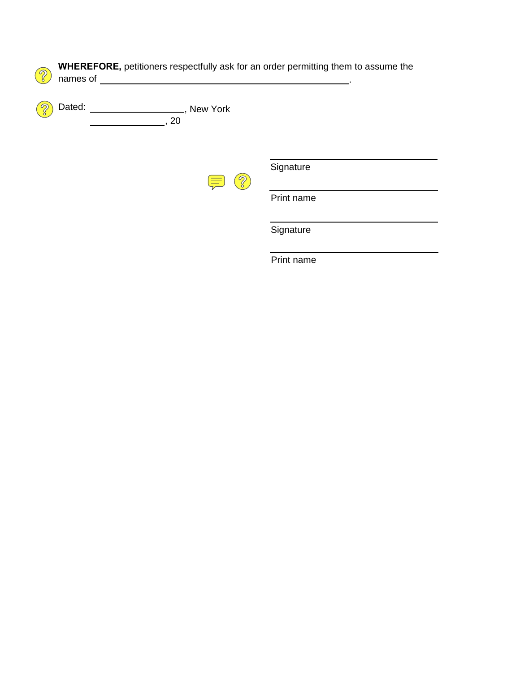| R<br>names of |                  | <b>WHEREFORE, petitioners respectfully ask for an order permitting them to assume the</b> |
|---------------|------------------|-------------------------------------------------------------------------------------------|
| Dated:        | New York<br>, 20 |                                                                                           |
|               |                  | Signature                                                                                 |
|               |                  | Print name                                                                                |
|               |                  | Signature                                                                                 |
|               |                  | Print name                                                                                |